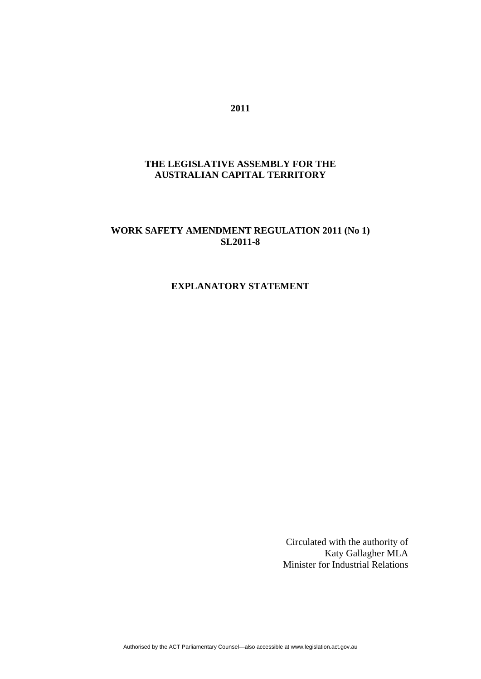# **THE LEGISLATIVE ASSEMBLY FOR THE AUSTRALIAN CAPITAL TERRITORY**

# **WORK SAFETY AMENDMENT REGULATION 2011 (No 1) SL2011-8**

## **EXPLANATORY STATEMENT**

Circulated with the authority of Katy Gallagher MLA Minister for Industrial Relations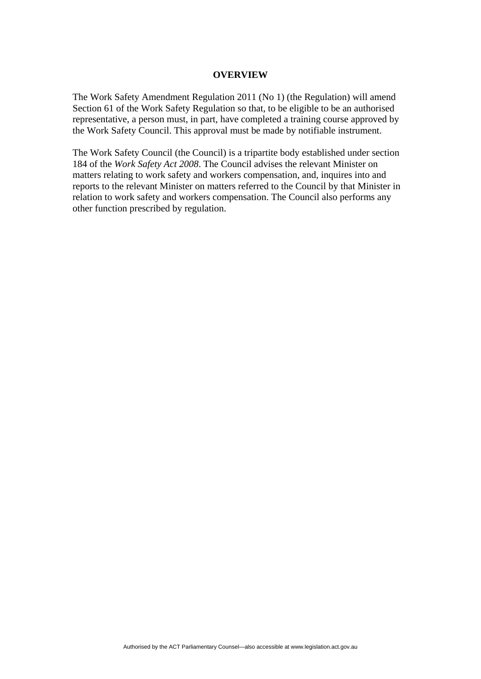#### **OVERVIEW**

The Work Safety Amendment Regulation 2011 (No 1) (the Regulation) will amend Section 61 of the Work Safety Regulation so that, to be eligible to be an authorised representative, a person must, in part, have completed a training course approved by the Work Safety Council. This approval must be made by notifiable instrument.

The Work Safety Council (the Council) is a tripartite body established under section 184 of the *Work Safety Act 2008*. The Council advises the relevant Minister on matters relating to work safety and workers compensation, and, inquires into and reports to the relevant Minister on matters referred to the Council by that Minister in relation to work safety and workers compensation. The Council also performs any other function prescribed by regulation.